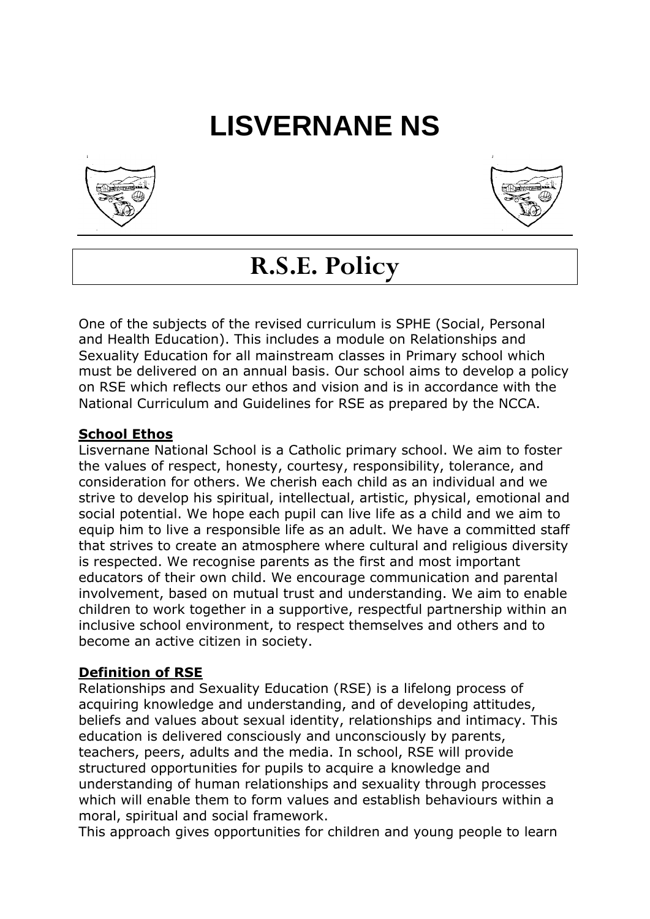# **LISVERNANE NS**





# **R.S.E. Policy**

One of the subjects of the revised curriculum is SPHE (Social, Personal and Health Education). This includes a module on Relationships and Sexuality Education for all mainstream classes in Primary school which must be delivered on an annual basis. Our school aims to develop a policy on RSE which reflects our ethos and vision and is in accordance with the National Curriculum and Guidelines for RSE as prepared by the NCCA.

#### **School Ethos**

Lisvernane National School is a Catholic primary school. We aim to foster the values of respect, honesty, courtesy, responsibility, tolerance, and consideration for others. We cherish each child as an individual and we strive to develop his spiritual, intellectual, artistic, physical, emotional and social potential. We hope each pupil can live life as a child and we aim to equip him to live a responsible life as an adult. We have a committed staff that strives to create an atmosphere where cultural and religious diversity is respected. We recognise parents as the first and most important educators of their own child. We encourage communication and parental involvement, based on mutual trust and understanding. We aim to enable children to work together in a supportive, respectful partnership within an inclusive school environment, to respect themselves and others and to become an active citizen in society.

#### **Definition of RSE**

Relationships and Sexuality Education (RSE) is a lifelong process of acquiring knowledge and understanding, and of developing attitudes, beliefs and values about sexual identity, relationships and intimacy. This education is delivered consciously and unconsciously by parents, teachers, peers, adults and the media. In school, RSE will provide structured opportunities for pupils to acquire a knowledge and understanding of human relationships and sexuality through processes which will enable them to form values and establish behaviours within a moral, spiritual and social framework.

This approach gives opportunities for children and young people to learn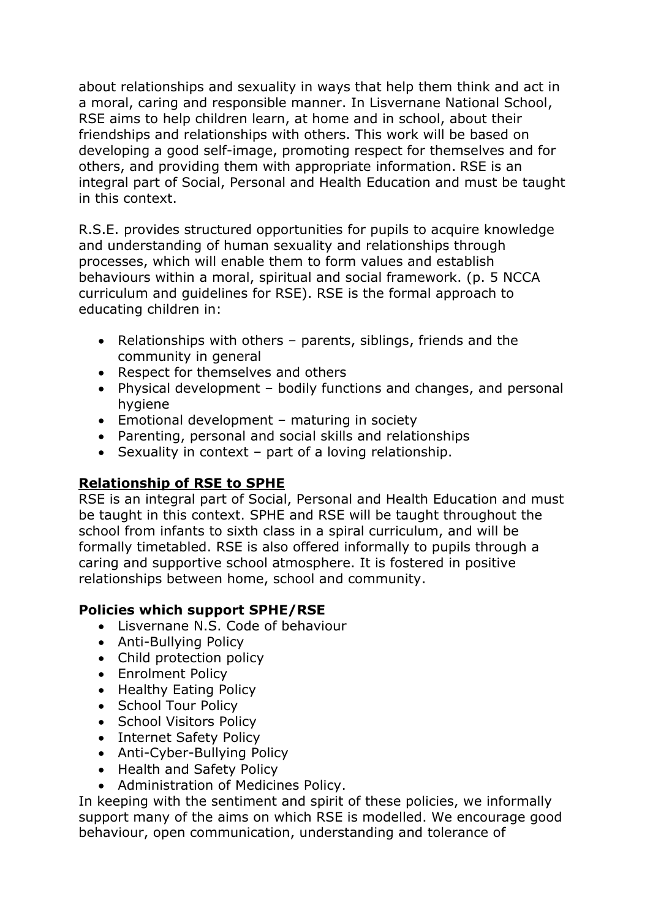about relationships and sexuality in ways that help them think and act in a moral, caring and responsible manner. In Lisvernane National School, RSE aims to help children learn, at home and in school, about their friendships and relationships with others. This work will be based on developing a good self-image, promoting respect for themselves and for others, and providing them with appropriate information. RSE is an integral part of Social, Personal and Health Education and must be taught in this context.

R.S.E. provides structured opportunities for pupils to acquire knowledge and understanding of human sexuality and relationships through processes, which will enable them to form values and establish behaviours within a moral, spiritual and social framework. (p. 5 NCCA curriculum and guidelines for RSE). RSE is the formal approach to educating children in:

- Relationships with others parents, siblings, friends and the community in general
- Respect for themselves and others
- Physical development bodily functions and changes, and personal hygiene
- Emotional development maturing in society
- Parenting, personal and social skills and relationships
- Sexuality in context part of a loving relationship.

# **Relationship of RSE to SPHE**

RSE is an integral part of Social, Personal and Health Education and must be taught in this context. SPHE and RSE will be taught throughout the school from infants to sixth class in a spiral curriculum, and will be formally timetabled. RSE is also offered informally to pupils through a caring and supportive school atmosphere. It is fostered in positive relationships between home, school and community.

# **Policies which support SPHE/RSE**

- Lisvernane N.S. Code of behaviour
- Anti-Bullying Policy
- Child protection policy
- Enrolment Policy
- Healthy Eating Policy
- School Tour Policy
- School Visitors Policy
- Internet Safety Policy
- Anti-Cyber-Bullying Policy
- Health and Safety Policy
- Administration of Medicines Policy.

In keeping with the sentiment and spirit of these policies, we informally support many of the aims on which RSE is modelled. We encourage good behaviour, open communication, understanding and tolerance of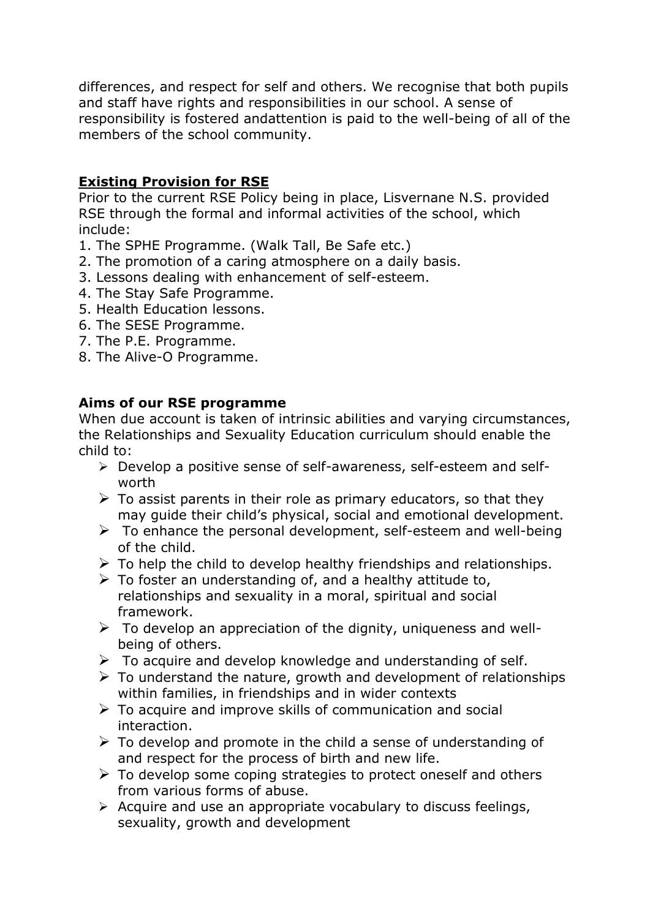differences, and respect for self and others. We recognise that both pupils and staff have rights and responsibilities in our school. A sense of responsibility is fostered andattention is paid to the well-being of all of the members of the school community.

# **Existing Provision for RSE**

Prior to the current RSE Policy being in place, Lisvernane N.S. provided RSE through the formal and informal activities of the school, which include:

- 1. The SPHE Programme. (Walk Tall, Be Safe etc.)
- 2. The promotion of a caring atmosphere on a daily basis.
- 3. Lessons dealing with enhancement of self-esteem.
- 4. The Stay Safe Programme.
- 5. Health Education lessons.
- 6. The SESE Programme.
- 7. The P.E. Programme.
- 8. The Alive-O Programme.

# **Aims of our RSE programme**

When due account is taken of intrinsic abilities and varying circumstances, the Relationships and Sexuality Education curriculum should enable the child to:

- ➢ Develop a positive sense of self-awareness, self-esteem and selfworth
- $\triangleright$  To assist parents in their role as primary educators, so that they may guide their child's physical, social and emotional development.
- $\triangleright$  To enhance the personal development, self-esteem and well-being of the child.
- $\triangleright$  To help the child to develop healthy friendships and relationships.
- $\triangleright$  To foster an understanding of, and a healthy attitude to, relationships and sexuality in a moral, spiritual and social framework.
- $\triangleright$  To develop an appreciation of the dignity, uniqueness and wellbeing of others.
- $\triangleright$  To acquire and develop knowledge and understanding of self.
- $\triangleright$  To understand the nature, growth and development of relationships within families, in friendships and in wider contexts
- $\triangleright$  To acquire and improve skills of communication and social interaction.
- $\triangleright$  To develop and promote in the child a sense of understanding of and respect for the process of birth and new life.
- $\triangleright$  To develop some coping strategies to protect oneself and others from various forms of abuse.
- ➢ Acquire and use an appropriate vocabulary to discuss feelings, sexuality, growth and development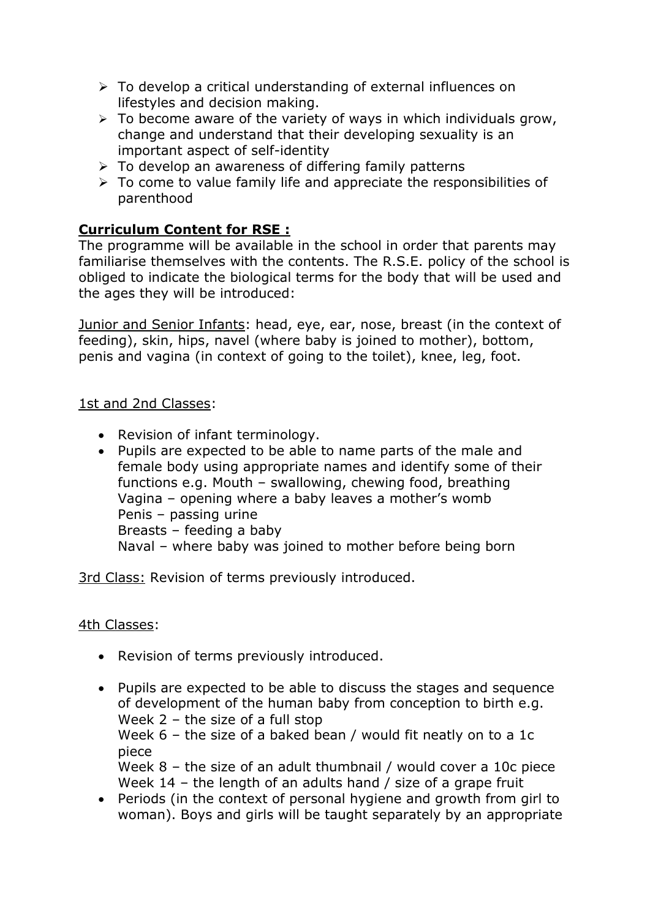- ➢ To develop a critical understanding of external influences on lifestyles and decision making.
- $\geq$  To become aware of the variety of ways in which individuals grow, change and understand that their developing sexuality is an important aspect of self-identity
- ➢ To develop an awareness of differing family patterns
- $\triangleright$  To come to value family life and appreciate the responsibilities of parenthood

# **Curriculum Content for RSE :**

The programme will be available in the school in order that parents may familiarise themselves with the contents. The R.S.E. policy of the school is obliged to indicate the biological terms for the body that will be used and the ages they will be introduced:

Junior and Senior Infants: head, eye, ear, nose, breast (in the context of feeding), skin, hips, navel (where baby is joined to mother), bottom, penis and vagina (in context of going to the toilet), knee, leg, foot.

#### 1st and 2nd Classes:

- Revision of infant terminology.
- Pupils are expected to be able to name parts of the male and female body using appropriate names and identify some of their functions e.g. Mouth – swallowing, chewing food, breathing Vagina – opening where a baby leaves a mother's womb Penis – passing urine Breasts – feeding a baby Naval – where baby was joined to mother before being born

3rd Class: Revision of terms previously introduced.

#### 4th Classes:

- Revision of terms previously introduced.
- Pupils are expected to be able to discuss the stages and sequence of development of the human baby from conception to birth e.g. Week 2 – the size of a full stop

Week 6 – the size of a baked bean / would fit neatly on to a 1c piece

Week 8 – the size of an adult thumbnail / would cover a 10c piece Week 14 – the length of an adults hand / size of a grape fruit

• Periods (in the context of personal hygiene and growth from girl to woman). Boys and girls will be taught separately by an appropriate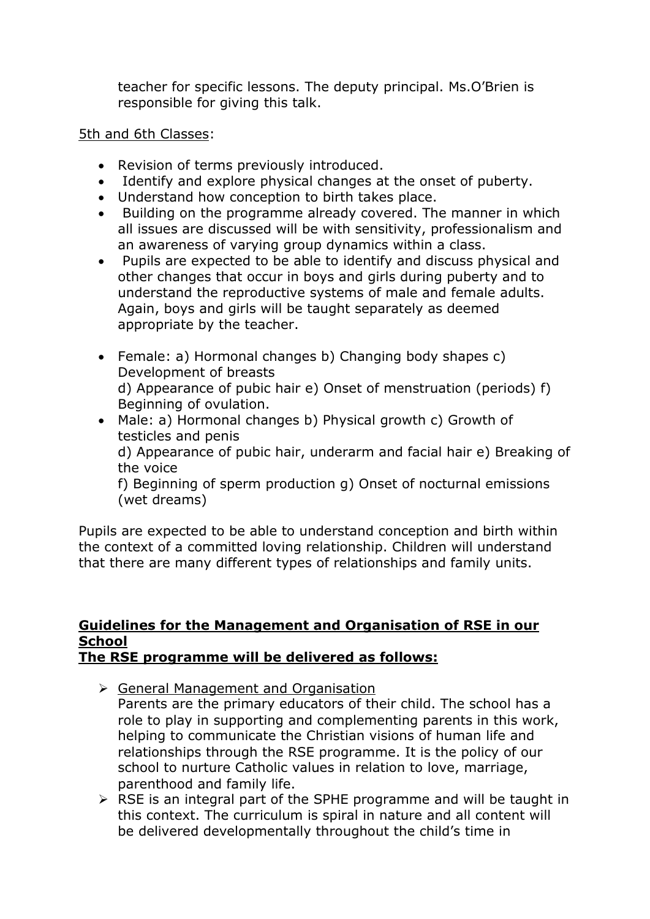teacher for specific lessons. The deputy principal. Ms.O'Brien is responsible for giving this talk.

#### 5th and 6th Classes:

- Revision of terms previously introduced.
- Identify and explore physical changes at the onset of puberty.
- Understand how conception to birth takes place.
- Building on the programme already covered. The manner in which all issues are discussed will be with sensitivity, professionalism and an awareness of varying group dynamics within a class.
- Pupils are expected to be able to identify and discuss physical and other changes that occur in boys and girls during puberty and to understand the reproductive systems of male and female adults. Again, boys and girls will be taught separately as deemed appropriate by the teacher.
- Female: a) Hormonal changes b) Changing body shapes c) Development of breasts d) Appearance of pubic hair e) Onset of menstruation (periods) f) Beginning of ovulation.
- Male: a) Hormonal changes b) Physical growth c) Growth of testicles and penis d) Appearance of pubic hair, underarm and facial hair e) Breaking of the voice f) Beginning of sperm production g) Onset of nocturnal emissions (wet dreams)

Pupils are expected to be able to understand conception and birth within the context of a committed loving relationship. Children will understand that there are many different types of relationships and family units.

#### **Guidelines for the Management and Organisation of RSE in our School The RSE programme will be delivered as follows:**

- ➢ General Management and Organisation
	- Parents are the primary educators of their child. The school has a role to play in supporting and complementing parents in this work, helping to communicate the Christian visions of human life and relationships through the RSE programme. It is the policy of our school to nurture Catholic values in relation to love, marriage, parenthood and family life.
- $\triangleright$  RSE is an integral part of the SPHE programme and will be taught in this context. The curriculum is spiral in nature and all content will be delivered developmentally throughout the child's time in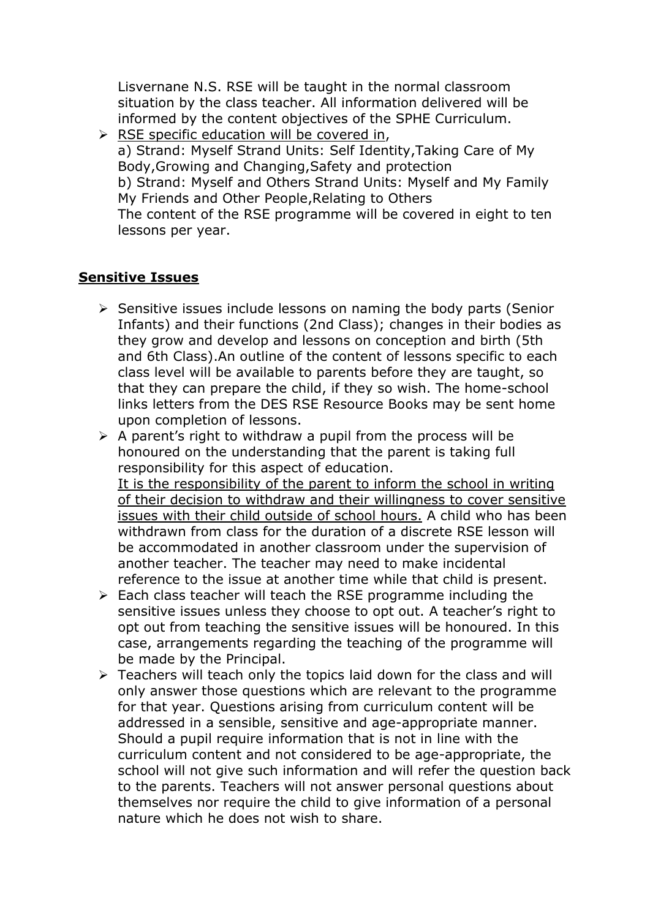Lisvernane N.S. RSE will be taught in the normal classroom situation by the class teacher. All information delivered will be informed by the content objectives of the SPHE Curriculum.

➢ RSE specific education will be covered in, a) Strand: Myself Strand Units: Self Identity,Taking Care of My Body,Growing and Changing,Safety and protection b) Strand: Myself and Others Strand Units: Myself and My Family My Friends and Other People,Relating to Others

The content of the RSE programme will be covered in eight to ten lessons per year.

#### **Sensitive Issues**

- ➢ Sensitive issues include lessons on naming the body parts (Senior Infants) and their functions (2nd Class); changes in their bodies as they grow and develop and lessons on conception and birth (5th and 6th Class).An outline of the content of lessons specific to each class level will be available to parents before they are taught, so that they can prepare the child, if they so wish. The home-school links letters from the DES RSE Resource Books may be sent home upon completion of lessons.
- $\triangleright$  A parent's right to withdraw a pupil from the process will be honoured on the understanding that the parent is taking full responsibility for this aspect of education. It is the responsibility of the parent to inform the school in writing of their decision to withdraw and their willingness to cover sensitive issues with their child outside of school hours. A child who has been withdrawn from class for the duration of a discrete RSE lesson will be accommodated in another classroom under the supervision of another teacher. The teacher may need to make incidental reference to the issue at another time while that child is present.
- $\triangleright$  Each class teacher will teach the RSE programme including the sensitive issues unless they choose to opt out. A teacher's right to opt out from teaching the sensitive issues will be honoured. In this case, arrangements regarding the teaching of the programme will be made by the Principal.
- $\triangleright$  Teachers will teach only the topics laid down for the class and will only answer those questions which are relevant to the programme for that year. Questions arising from curriculum content will be addressed in a sensible, sensitive and age-appropriate manner. Should a pupil require information that is not in line with the curriculum content and not considered to be age-appropriate, the school will not give such information and will refer the question back to the parents. Teachers will not answer personal questions about themselves nor require the child to give information of a personal nature which he does not wish to share.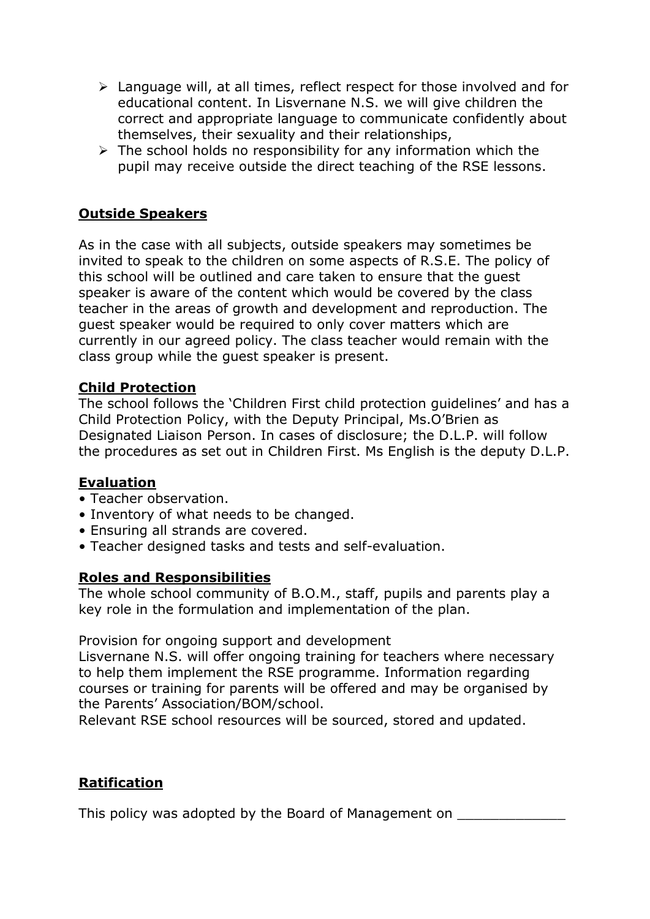- ➢ Language will, at all times, reflect respect for those involved and for educational content. In Lisvernane N.S. we will give children the correct and appropriate language to communicate confidently about themselves, their sexuality and their relationships,
- $\triangleright$  The school holds no responsibility for any information which the pupil may receive outside the direct teaching of the RSE lessons.

# **Outside Speakers**

As in the case with all subjects, outside speakers may sometimes be invited to speak to the children on some aspects of R.S.E. The policy of this school will be outlined and care taken to ensure that the guest speaker is aware of the content which would be covered by the class teacher in the areas of growth and development and reproduction. The guest speaker would be required to only cover matters which are currently in our agreed policy. The class teacher would remain with the class group while the guest speaker is present.

#### **Child Protection**

The school follows the 'Children First child protection guidelines' and has a Child Protection Policy, with the Deputy Principal, Ms.O'Brien as Designated Liaison Person. In cases of disclosure; the D.L.P. will follow the procedures as set out in Children First. Ms English is the deputy D.L.P.

#### **Evaluation**

- Teacher observation.
- Inventory of what needs to be changed.
- Ensuring all strands are covered.
- Teacher designed tasks and tests and self-evaluation.

#### **Roles and Responsibilities**

The whole school community of B.O.M., staff, pupils and parents play a key role in the formulation and implementation of the plan.

Provision for ongoing support and development

Lisvernane N.S. will offer ongoing training for teachers where necessary to help them implement the RSE programme. Information regarding courses or training for parents will be offered and may be organised by the Parents' Association/BOM/school.

Relevant RSE school resources will be sourced, stored and updated.

# **Ratification**

This policy was adopted by the Board of Management on